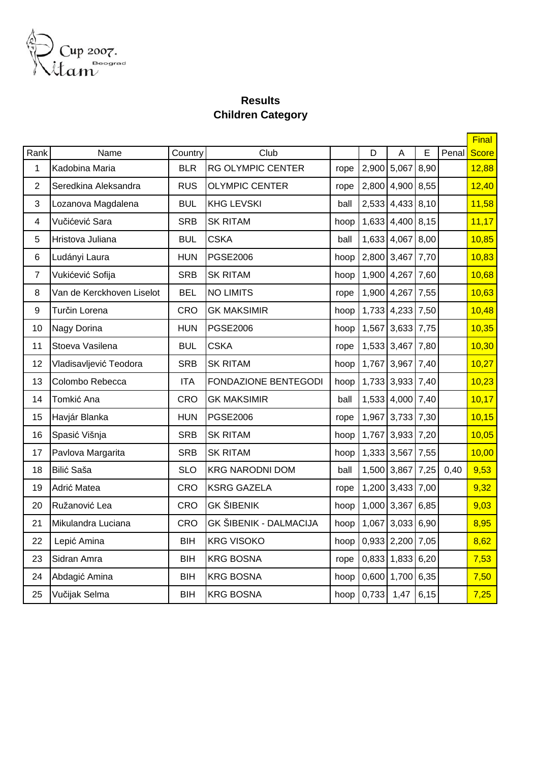

## **Results Children Category**

|                         |                           |            |                               |      |       |                  |      |       | <b>Final</b> |
|-------------------------|---------------------------|------------|-------------------------------|------|-------|------------------|------|-------|--------------|
| Rank                    | Name                      | Country    | Club                          |      | D     | A                | E    | Penal | <b>Score</b> |
| $\mathbf 1$             | Kadobina Maria            | <b>BLR</b> | <b>RG OLYMPIC CENTER</b>      | rope | 2,900 | 5,067            | 8,90 |       | 12,88        |
| $\overline{2}$          | Seredkina Aleksandra      | <b>RUS</b> | <b>OLYMPIC CENTER</b>         | rope | 2,800 | 4,900 8,55       |      |       | 12,40        |
| 3                       | Lozanova Magdalena        | <b>BUL</b> | <b>KHG LEVSKI</b>             | ball | 2,533 | 4,433 8,10       |      |       | 11,58        |
| $\overline{\mathbf{4}}$ | Vučićević Sara            | <b>SRB</b> | <b>SK RITAM</b>               | hoop | 1,633 | 4,400 8,15       |      |       | 11,17        |
| 5                       | Hristova Juliana          | <b>BUL</b> | <b>CSKA</b>                   | ball | 1,633 | 4,067 8,00       |      |       | 10,85        |
| 6                       | Ludányi Laura             | <b>HUN</b> | <b>PGSE2006</b>               | hoop | 2,800 | 3,467 7,70       |      |       | 10,83        |
| $\overline{7}$          | Vukićević Sofija          | <b>SRB</b> | <b>SK RITAM</b>               | hoop | 1,900 | 4,267 7,60       |      |       | 10,68        |
| 8                       | Van de Kerckhoven Liselot | <b>BEL</b> | <b>NO LIMITS</b>              | rope |       | 1,900 4,267 7,55 |      |       | 10,63        |
| 9                       | Turčin Lorena             | <b>CRO</b> | <b>GK MAKSIMIR</b>            | hoop | 1,733 | 4,233 7,50       |      |       | 10,48        |
| 10                      | Nagy Dorina               | <b>HUN</b> | <b>PGSE2006</b>               | hoop |       | 1,567 3,633 7,75 |      |       | 10,35        |
| 11                      | Stoeva Vasilena           | <b>BUL</b> | <b>CSKA</b>                   | rope | 1,533 | 3,467 7,80       |      |       | 10,30        |
| 12                      | Vladisavljević Teodora    | <b>SRB</b> | <b>SK RITAM</b>               | hoop | 1,767 | 3,967 7,40       |      |       | 10,27        |
| 13                      | Colombo Rebecca           | <b>ITA</b> | <b>FONDAZIONE BENTEGODI</b>   | hoop |       | 1,733 3,933 7,40 |      |       | 10,23        |
| 14                      | Tomkić Ana                | CRO        | <b>GK MAKSIMIR</b>            | ball | 1,533 | 4,000 7,40       |      |       | 10,17        |
| 15                      | Havjár Blanka             | <b>HUN</b> | <b>PGSE2006</b>               | rope |       | 1,967 3,733 7,30 |      |       | 10,15        |
| 16                      | Spasić Višnja             | <b>SRB</b> | <b>SK RITAM</b>               | hoop | 1,767 | 3,933 7,20       |      |       | 10,05        |
| 17                      | Pavlova Margarita         | <b>SRB</b> | <b>SK RITAM</b>               | hoop | 1,333 | 3,567 7,55       |      |       | 10,00        |
| 18                      | Bilić Saša                | <b>SLO</b> | <b>KRG NARODNI DOM</b>        | ball | 1,500 | 3,867 7,25       |      | 0,40  | 9,53         |
| 19                      | Adrić Matea               | <b>CRO</b> | <b>KSRG GAZELA</b>            | rope | 1,200 | 3,433 7,00       |      |       | 9,32         |
| 20                      | Ružanović Lea             | CRO        | <b>GK ŠIBENIK</b>             | hoop | 1,000 | 3,367            | 6,85 |       | 9,03         |
| 21                      | Mikulandra Luciana        | CRO        | <b>GK ŠIBENIK - DALMACIJA</b> | hoop | 1,067 | $3,033$ 6,90     |      |       | 8,95         |
| 22                      | Lepić Amina               | <b>BIH</b> | <b>KRG VISOKO</b>             | hoop |       | 0,933 2,200 7,05 |      |       | 8,62         |
| 23                      | Sidran Amra               | <b>BIH</b> | <b>KRG BOSNA</b>              | rope | 0,833 | 1,833 6,20       |      |       | 7,53         |
| 24                      | Abdagić Amina             | <b>BIH</b> | <b>KRG BOSNA</b>              | hoop | 0,600 | 1,700            | 6,35 |       | 7,50         |
| 25                      | Vučijak Selma             | <b>BIH</b> | <b>KRG BOSNA</b>              | hoop | 0,733 | 1,47             | 6,15 |       | 7,25         |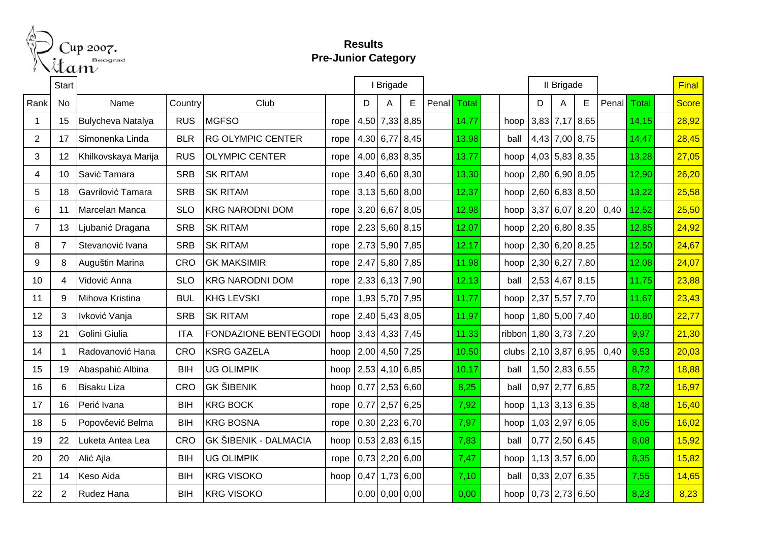

## **Results Pre-Junior Category**

|                | <b>Start</b>            |                          |            |                              |      | I Brigade |                  |             |       |       | II Brigade |                                                     |      |                  |                  |       | <b>Final</b> |  |       |
|----------------|-------------------------|--------------------------|------------|------------------------------|------|-----------|------------------|-------------|-------|-------|------------|-----------------------------------------------------|------|------------------|------------------|-------|--------------|--|-------|
| Rank           | No                      | Name                     | Country    | Club                         |      | D         | Α                | E           | Penal | Total |            |                                                     | D    | Α                | E                | Penal | <b>Total</b> |  | Score |
| -1             | 15                      | <b>Bulycheva Natalya</b> | <b>RUS</b> | <b>MGFSO</b>                 | rope | 4,50      | 7,33 8,85        |             |       | 14,77 |            | hoop                                                |      | 3,83 7,17 8,65   |                  |       | 14,15        |  | 28,92 |
| 2              | 17                      | Simonenka Linda          | <b>BLR</b> | <b>RG OLYMPIC CENTER</b>     | rope |           | 4,30 6,77 8,45   |             |       | 13,98 |            | ball                                                |      | 4,43 7,00 8,75   |                  |       | 14,47        |  | 28,45 |
| 3              | 12                      | Khilkovskaya Marija      | <b>RUS</b> | <b>OLYMPIC CENTER</b>        | rope |           | $4,00$ 6,83 8,35 |             |       | 13,77 |            | hoop                                                |      |                  | 4,03 5,83 8,35   |       | 13,28        |  | 27,05 |
| 4              | 10                      | Savić Tamara             | <b>SRB</b> | <b>SK RITAM</b>              | rope |           | $3,40$ 6,60 8,30 |             |       | 13,30 |            | hoop 2,80 6,90 8,05                                 |      |                  |                  |       | 12,90        |  | 26,20 |
| 5              | 18                      | Gavrilović Tamara        | <b>SRB</b> | <b>SK RITAM</b>              | rope |           | $3,13$ 5,60 8,00 |             |       | 12,37 |            | hoop $\left  2,60 \right  6,83 \left  8,50 \right $ |      |                  |                  |       | 13,22        |  | 25,58 |
| 6              | 11                      | Marcelan Manca           | <b>SLO</b> | <b>KRG NARODNI DOM</b>       | rope |           | $3,20$ 6,67 8,05 |             |       | 12,98 |            | hoop 3,37 6,07                                      |      |                  | 8,20             | 0,40  | 12,52        |  | 25,50 |
| $\overline{7}$ | 13                      | Ljubanić Dragana         | <b>SRB</b> | <b>SK RITAM</b>              | rope |           | $2,23$ 5,60 8,15 |             |       | 12,07 |            | hoop $ 2,20 6,80 8,35$                              |      |                  |                  |       | 12,85        |  | 24,92 |
| 8              | $\overline{7}$          | Stevanović Ivana         | <b>SRB</b> | <b>SK RITAM</b>              | rope |           | 2,73 5,90 7,85   |             |       | 12,17 |            | hoop $ 2,30 6,20 8,25$                              |      |                  |                  |       | 12,50        |  | 24,67 |
| 9              | 8                       | Auguštin Marina          | <b>CRO</b> | <b>GK MAKSIMIR</b>           | rope |           | 2,47 5,80 7,85   |             |       | 11,98 |            | hoop $2,30$ 6,27                                    |      |                  | 7,80             |       | 12,08        |  | 24,07 |
| 10             | $\overline{\mathbf{4}}$ | Vidović Anna             | <b>SLO</b> | <b>KRG NARODNI DOM</b>       | rope |           | $2,33$ 6,13 7,90 |             |       | 12,13 |            | ball                                                |      |                  | $2,53$ 4,67 8,15 |       | 11,75        |  | 23,88 |
| 11             | 9                       | Mihova Kristina          | <b>BUL</b> | <b>KHG LEVSKI</b>            | rope |           | 1,93 5,70 7,95   |             |       | 11,77 |            | hoop 2,37 5,57 7,70                                 |      |                  |                  |       | 11,67        |  | 23,43 |
| 12             | 3                       | Ivković Vanja            | <b>SRB</b> | <b>SK RITAM</b>              | rope |           | $2,40$ 5,43 8,05 |             |       | 11,97 |            | hoop                                                |      |                  | 1,80 5,00 7,40   |       | 10,80        |  | 22,77 |
| 13             | 21                      | Golini Giulia            | <b>ITA</b> | FONDAZIONE BENTEGODI         | hoop |           | $3,43$ 4,33 7,45 |             |       | 11,33 |            | ribbon 1,80 3,73 7,20                               |      |                  |                  |       | 9,97         |  | 21,30 |
| 14             | $\mathbf 1$             | Radovanović Hana         | <b>CRO</b> | <b>KSRG GAZELA</b>           | hoop |           | 2,00 4,50 7,25   |             |       | 10,50 |            | clubs $\left  2,10 \right  3,87 \right  6,95$       |      |                  |                  | 0,40  | 9,53         |  | 20,03 |
| 15             | 19                      | Abaspahić Albina         | <b>BIH</b> | <b>UG OLIMPIK</b>            | hoop |           | $2,53$ 4,10 6,85 |             |       | 10,17 |            | ball                                                |      |                  | $1,50$ 2,83 6,55 |       | 8,72         |  | 18,88 |
| 16             | 6                       | <b>Bisaku Liza</b>       | <b>CRO</b> | <b>GK ŠIBENIK</b>            | hoop |           | $0,77$ 2,53 6,60 |             |       | 8,25  |            | ball                                                |      | $0,97$ 2,77      | 6,85             |       | 8,72         |  | 16,97 |
| 17             | 16                      | Perić Ivana              | <b>BIH</b> | <b>KRG BOCK</b>              | rope | 0,77      | $2,57$ 6,25      |             |       | 7,92  |            | hoop                                                |      | $1,13$ 3,13 6,35 |                  |       | 8,48         |  | 16,40 |
| 18             | 5                       | Popovčević Belma         | <b>BIH</b> | <b>KRG BOSNA</b>             | rope |           | $0,30$ 2,23 6,70 |             |       | 7,97  |            | hoop                                                |      | $1,03$ 2,97      | 6,05             |       | 8,05         |  | 16,02 |
| 19             | 22                      | Luketa Antea Lea         | <b>CRO</b> | <b>GK ŠIBENIK - DALMACIA</b> | hoop |           | 0,53 2,83 6,15   |             |       | 7,83  |            | ball                                                | 0,77 | $2,50$ 6,45      |                  |       | 8,08         |  | 15,92 |
| 20             | 20                      | Alić Ajla                | <b>BIH</b> | <b>UG OLIMPIK</b>            | rope |           | $0,73$ 2,20 6,00 |             |       | 7,47  |            | hoop                                                |      | $1,13$ 3,57      | 6,00             |       | 8,35         |  | 15,82 |
| 21             | 14                      | Keso Aida                | <b>BIH</b> | <b>KRG VISOKO</b>            | hoop | 0,47      |                  | $1,73$ 6,00 |       | 7,10  |            | ball                                                |      | $0,33$ 2,07 6,35 |                  |       | 7,55         |  | 14,65 |
| 22             | $\overline{2}$          | Rudez Hana               | <b>BIH</b> | <b>KRG VISOKO</b>            |      |           | $0,00$ 0,00 0,00 |             |       | 0,00  |            | hoop $\left  0.73 \right  2.73 \left  6.50 \right $ |      |                  |                  |       | 8,23         |  | 8,23  |